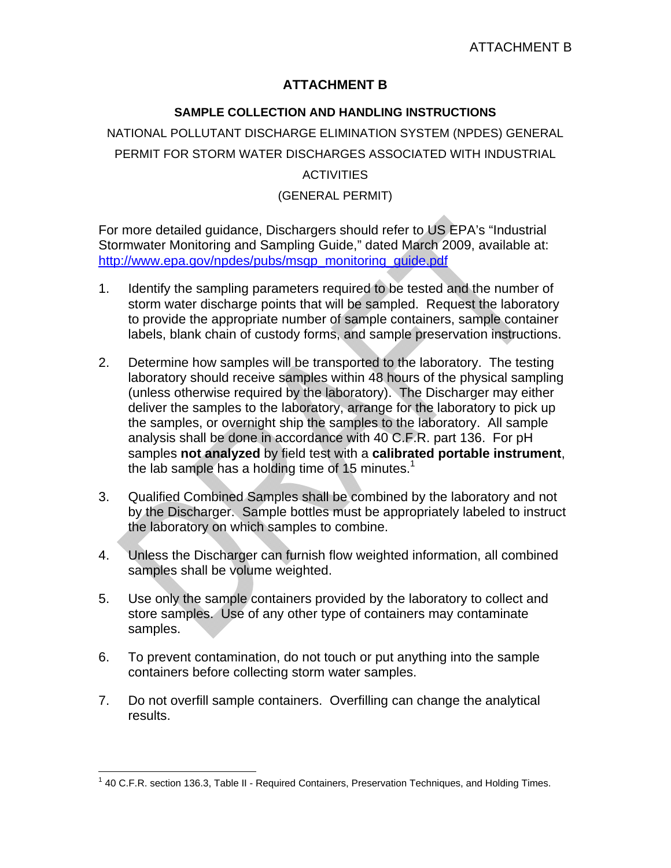## **ATTACHMENT B**

## **SAMPLE COLLECTION AND HANDLING INSTRUCTIONS**

NATIONAL POLLUTANT DISCHARGE ELIMINATION SYSTEM (NPDES) GENERAL PERMIT FOR STORM WATER DISCHARGES ASSOCIATED WITH INDUSTRIAL ACTIVITIES

## (GENERAL PERMIT)

For more detailed guidance, Dischargers should refer to US EPA's "Industrial Stormwater Monitoring and Sampling Guide," dated March 2009, available at: http://www.epa.gov/npdes/pubs/msgp\_monitoring\_guide.pdf

- 1. Identify the sampling parameters required to be tested and the number of storm water discharge points that will be sampled. Request the laboratory to provide the appropriate number of sample containers, sample container labels, blank chain of custody forms, and sample preservation instructions.
- 2. Determine how samples will be transported to the laboratory. The testing laboratory should receive samples within 48 hours of the physical sampling (unless otherwise required by the laboratory). The Discharger may either deliver the samples to the laboratory, arrange for the laboratory to pick up the samples, or overnight ship the samples to the laboratory. All sample analysis shall be done in accordance with 40 C.F.R. part 136. For pH samples **not analyzed** by field test with a **calibrated portable instrument**, the lab sample has a holding time of 15 minutes.<sup>1</sup>
- 3. Qualified Combined Samples shall be combined by the laboratory and not by the Discharger. Sample bottles must be appropriately labeled to instruct the laboratory on which samples to combine.
- 4. Unless the Discharger can furnish flow weighted information, all combined samples shall be volume weighted.
- 5. Use only the sample containers provided by the laboratory to collect and store samples. Use of any other type of containers may contaminate samples.
- 6. To prevent contamination, do not touch or put anything into the sample containers before collecting storm water samples.
- 7. Do not overfill sample containers. Overfilling can change the analytical results.

 $\overline{a}$  $1$  40 C.F.R. section 136.3, Table II - Required Containers, Preservation Techniques, and Holding Times.